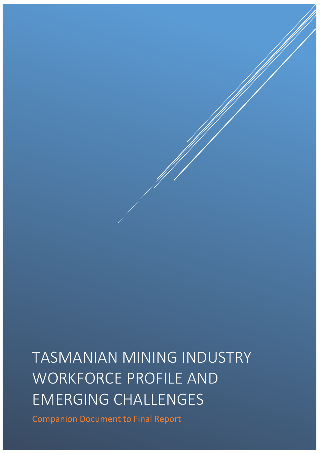# TASMANIAN MINING INDUSTRY WORKFORCE PROFILE AND EMERGING CHALLENGES

Companion Document to Final Report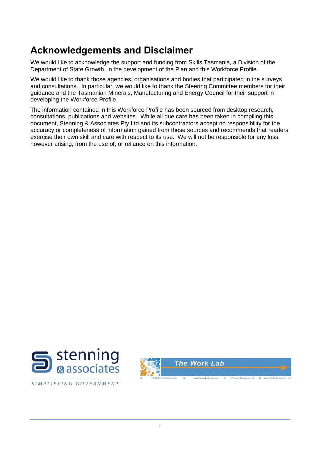# **Acknowledgements and Disclaimer**

We would like to acknowledge the support and funding from Skills Tasmania, a Division of the Department of State Growth, in the development of the Plan and this Workforce Profile.

We would like to thank those agencies, organisations and bodies that participated in the surveys and consultations. In particular, we would like to thank the Steering Committee members for their guidance and the Tasmanian Minerals, Manufacturing and Energy Council for their support in developing the Workforce Profile.

The information contained in this Workforce Profile has been sourced from desktop research, consultations, publications and websites. While all due care has been taken in compiling this document, Stenning & Associates Pty Ltd and its subcontractors accept no responsibility for the accuracy or completeness of information gained from these sources and recommends that readers exercise their own skill and care with respect to its use. We will not be responsible for any loss, however arising, from the use of, or reliance on this information.





SIMPLIFYING GOVERNMENT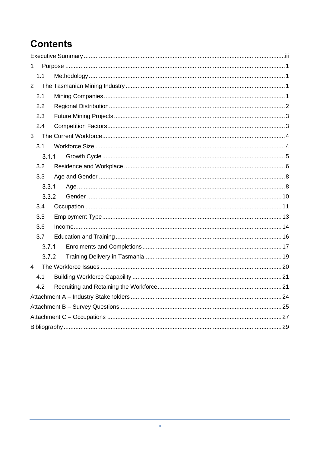# **Contents**

| 1              |       |  |  |  |  |  |  |
|----------------|-------|--|--|--|--|--|--|
|                | 1.1   |  |  |  |  |  |  |
| $\overline{2}$ |       |  |  |  |  |  |  |
|                | 2.1   |  |  |  |  |  |  |
|                | 2.2   |  |  |  |  |  |  |
|                | 2.3   |  |  |  |  |  |  |
|                | 2.4   |  |  |  |  |  |  |
| 3              |       |  |  |  |  |  |  |
|                | 3.1   |  |  |  |  |  |  |
|                | 3.1.1 |  |  |  |  |  |  |
|                | 3.2   |  |  |  |  |  |  |
|                | 3.3   |  |  |  |  |  |  |
|                | 3.3.1 |  |  |  |  |  |  |
|                | 3.3.2 |  |  |  |  |  |  |
|                | 3.4   |  |  |  |  |  |  |
|                | 3.5   |  |  |  |  |  |  |
|                | 3.6   |  |  |  |  |  |  |
|                | 3.7   |  |  |  |  |  |  |
|                | 3.7.1 |  |  |  |  |  |  |
|                | 3.7.2 |  |  |  |  |  |  |
| $\overline{4}$ |       |  |  |  |  |  |  |
|                | 4.1   |  |  |  |  |  |  |
|                | 4.2   |  |  |  |  |  |  |
|                |       |  |  |  |  |  |  |
|                |       |  |  |  |  |  |  |
|                |       |  |  |  |  |  |  |
|                |       |  |  |  |  |  |  |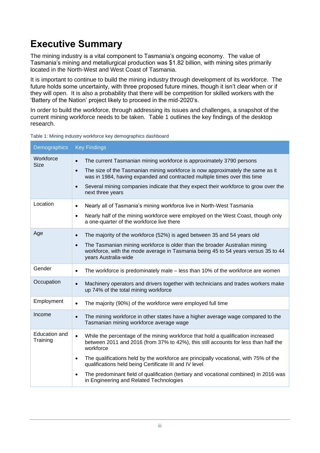# <span id="page-3-0"></span>**Executive Summary**

The mining industry is a vital component to Tasmania's ongoing economy. The value of Tasmania's mining and metallurgical production was \$1.82 billion, with mining sites primarily located in the North-West and West Coast of Tasmania.

It is important to continue to build the mining industry through development of its workforce. The future holds some uncertainty, with three proposed future mines, though it isn't clear when or if they will open. It is also a probability that there will be competition for skilled workers with the 'Battery of the Nation' project likely to proceed in the mid-2020's.

In order to build the workforce, through addressing its issues and challenges, a snapshot of the current mining workforce needs to be taken. [Table 1](#page-3-1) outlines the key findings of the desktop research.

| Demographics                     | <b>Key Findings</b>                                                                                                                                                                                                                                                                                                                                                                   |
|----------------------------------|---------------------------------------------------------------------------------------------------------------------------------------------------------------------------------------------------------------------------------------------------------------------------------------------------------------------------------------------------------------------------------------|
| Workforce<br><b>Size</b>         | The current Tasmanian mining workforce is approximately 3790 persons<br>$\bullet$<br>The size of the Tasmanian mining workforce is now approximately the same as it<br>$\bullet$<br>was in 1984, having expanded and contracted multiple times over this time<br>Several mining companies indicate that they expect their workforce to grow over the<br>$\bullet$<br>next three years |
| Location                         | Nearly all of Tasmania's mining workforce live in North-West Tasmania<br>$\bullet$<br>Nearly half of the mining workforce were employed on the West Coast, though only<br>$\bullet$<br>a one-quarter of the workforce live there                                                                                                                                                      |
| Age                              | The majority of the workforce (52%) is aged between 35 and 54 years old<br>$\bullet$<br>The Tasmanian mining workforce is older than the broader Australian mining<br>$\bullet$<br>workforce, with the mode average in Tasmania being 45 to 54 years versus 35 to 44<br>years Australia-wide                                                                                          |
| Gender                           | The workforce is predominately male – less than 10% of the workforce are women<br>$\bullet$                                                                                                                                                                                                                                                                                           |
| Occupation                       | Machinery operators and drivers together with technicians and trades workers make<br>$\bullet$<br>up 74% of the total mining workforce                                                                                                                                                                                                                                                |
| Employment                       | The majority (90%) of the workforce were employed full time<br>$\bullet$                                                                                                                                                                                                                                                                                                              |
| Income                           | The mining workforce in other states have a higher average wage compared to the<br>$\bullet$<br>Tasmanian mining workforce average wage                                                                                                                                                                                                                                               |
| <b>Education and</b><br>Training | While the percentage of the mining workforce that hold a qualification increased<br>$\bullet$<br>between 2011 and 2016 (from 37% to 42%), this still accounts for less than half the<br>workforce<br>The qualifications held by the workforce are principally vocational, with 75% of the<br>$\bullet$<br>qualifications held being Certificate III and IV level                      |
|                                  | The predominant field of qualification (tertiary and vocational combined) in 2016 was<br>$\bullet$<br>in Engineering and Related Technologies                                                                                                                                                                                                                                         |

<span id="page-3-1"></span>Table 1: Mining industry workforce key demographics dashboard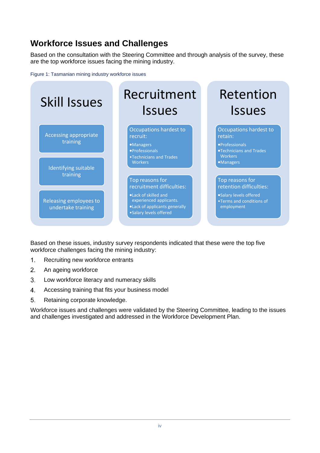# **Workforce Issues and Challenges**

Based on the consultation with the Steering Committee and through analysis of the survey, these are the top workforce issues facing the mining industry.

Figure 1: Tasmanian mining industry workforce issues



Based on these issues, industry survey respondents indicated that these were the top five workforce challenges facing the mining industry:

- $1<sub>1</sub>$ Recruiting new workforce entrants
- $2.$ An ageing workforce
- $3<sub>1</sub>$ Low workforce literacy and numeracy skills
- $\overline{4}$ . Accessing training that fits your business model
- 5. Retaining corporate knowledge.

Workforce issues and challenges were validated by the Steering Committee, leading to the issues and challenges investigated and addressed in the Workforce Development Plan.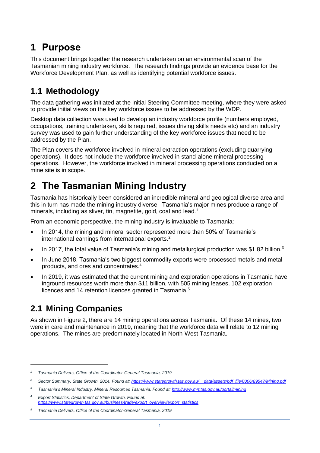# <span id="page-5-0"></span>**1 Purpose**

This document brings together the research undertaken on an environmental scan of the Tasmanian mining industry workforce. The research findings provide an evidence base for the Workforce Development Plan, as well as identifying potential workforce issues.

# <span id="page-5-1"></span>**1.1 Methodology**

The data gathering was initiated at the initial Steering Committee meeting, where they were asked to provide initial views on the key workforce issues to be addressed by the WDP.

Desktop data collection was used to develop an industry workforce profile (numbers employed, occupations, training undertaken, skills required, issues driving skills needs etc) and an industry survey was used to gain further understanding of the key workforce issues that need to be addressed by the Plan.

The Plan covers the workforce involved in mineral extraction operations (excluding quarrying operations). It does not include the workforce involved in stand-alone mineral processing operations. However, the workforce involved in mineral processing operations conducted on a mine site is in scope.

# <span id="page-5-2"></span>**2 The Tasmanian Mining Industry**

Tasmania has historically been considered an incredible mineral and geological diverse area and this in turn has made the mining industry diverse. Tasmania's major mines produce a range of minerals, including as sliver, tin, magnetite, gold, coal and lead.<sup>1</sup>

From an economic perspective, the mining industry is invaluable to Tasmania:

- In 2014, the mining and mineral sector represented more than 50% of Tasmania's international earnings from international exports.<sup>2</sup>
- In 2017, the total value of Tasmania's mining and metallurgical production was \$1.82 billion.<sup>3</sup>
- In June 2018, Tasmania's two biggest commodity exports were processed metals and metal products, and ores and concentrates.<sup>4</sup>
- In 2019, it was estimated that the current mining and exploration operations in Tasmania have inground resources worth more than \$11 billion, with 505 mining leases, 102 exploration licences and 14 retention licences granted in Tasmania.<sup>5</sup>

# <span id="page-5-3"></span>**2.1 Mining Companies**

As shown in [Figure 2,](#page-6-1) there are 14 mining operations across Tasmania. Of these 14 mines, two were in care and maintenance in 2019, meaning that the workforce data will relate to 12 mining operations. The mines are predominately located in North-West Tasmania.

*<sup>1</sup> Tasmania Delivers, Office of the Coordinator-General Tasmania, 2019*

*<sup>2</sup> Sector Summary, State Growth, 2014. Found at: [https://www.stategrowth.tas.gov.au/\\_\\_data/assets/pdf\\_file/0006/89547/Mining.pdf](https://www.stategrowth.tas.gov.au/__data/assets/pdf_file/0006/89547/Mining.pdf)*

*<sup>3</sup> Tasmania's Mineral Industry, Mineral Resources Tasmania. Found at:<http://www.mrt.tas.gov.au/portal/mining>*

*<sup>4</sup> Export Statistics, Department of State Growth. Found at: [https://www.stategrowth.tas.gov.au/business/trade/export\\_overview/export\\_statistics](https://www.stategrowth.tas.gov.au/business/trade/export_overview/export_statistics)*

*<sup>5</sup> Tasmania Delivers, Office of the Coordinator-General Tasmania, 2019*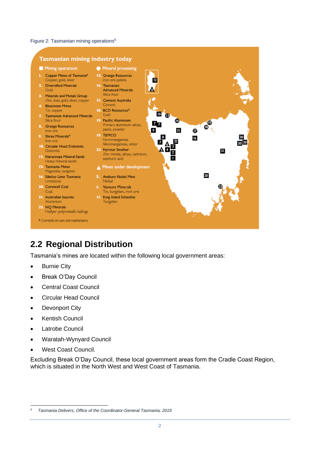#### <span id="page-6-1"></span>Figure 2: Tasmanian mining operations<sup>6</sup>



### <span id="page-6-0"></span>**2.2 Regional Distribution**

Tasmania's mines are located within the following local government areas:

- Burnie City
- Break O'Day Council
- Central Coast Council
- Circular Head Council
- Devonport City
- Kentish Council
- Latrobe Council
- Waratah-Wynyard Council
- West Coast Council.

Excluding Break O'Day Council, these local government areas form the Cradle Coast Region, which is situated in the North West and West Coast of Tasmania.

*<sup>6</sup> Tasmania Delivers, Office of the Coordinator-General Tasmania, 2019*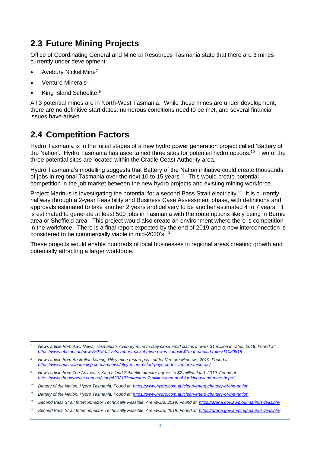### <span id="page-7-0"></span>**2.3 Future Mining Projects**

Office of Coordinating General and Mineral Resources Tasmania state that there are 3 mines currently under development:

- Avebury Nickel Mine<sup>7</sup>
- Venture Minerals<sup>8</sup>
- King Island Scheelite.<sup>9</sup>

All 3 potential mines are in North-West Tasmania. While these mines are under development, there are no definitive start dates, numerous conditions need to be met, and several financial issues have arisen.

### <span id="page-7-1"></span>**2.4 Competition Factors**

Hydro Tasmania is in the initial stages of a new hydro power generation project called 'Battery of the Nation'. Hydro Tasmania has ascertained three sites for potential hydro options.<sup>10</sup> Two of the three potential sites are located within the Cradle Coast Authority area.

Hydro Tasmania's modelling suggests that Battery of the Nation initiative could create thousands of jobs in regional Tasmania over the next 10 to 15 years.<sup>11</sup> This would create potential competition in the job market between the new hydro projects and existing mining workforce.

Project Marinus is investigating the potential for a second Bass Strait electricity.<sup>12</sup> It is currently halfway through a 2-year Feasibility and Business Case Assessment phase, with definitions and approvals estimated to take another 2 years and delivery to be another estimated 4 to 7 years. It is estimated to generate at least 500 jobs in Tasmania with the route options likely being in Burnie area or Sheffield area. This project would also create an environment where there is competition in the workforce. There is a final report expected by the end of 2019 and a new interconnection is considered to be commercially viable in mid-2020's.<sup>13</sup>

These projects would enable hundreds of local businesses in regional areas creating growth and potentially attracting a larger workforce.

*<sup>9</sup> News article from The Advocate, King Island Scheelite director agrees to \$2 million load, 2019. Found at: <https://www.theadvocate.com.au/story/6292179/directors-2-million-loan-deal-for-king-island-mine-hope/>*

*<sup>7</sup> News article from ABC News, Tasmania's Avebury mine to stay close amid claims it owes \$1 million in rates, 2019. Found at: [https://www.abc.net.au/news/2019-04-24/avebury-nickel-mine-owes-council-\\$1m-in-unpaid-rates/11039818](https://www.abc.net.au/news/2019-04-24/avebury-nickel-mine-owes-council-$1m-in-unpaid-rates/11039818)*

*<sup>8</sup> News article from Australian Mining, Riley mine restart pays off for Venture Minerals, 2019. Found at: <https://www.australianmining.com.au/news/riley-mine-restart-pays-off-for-venture-minerals/>*

*<sup>10</sup> Battery of the Nation, Hydro Tasmania. Found at[: https://www.hydro.com.au/clean-energy/battery-of-the-nation](https://www.hydro.com.au/clean-energy/battery-of-the-nation)*

*<sup>11</sup> Battery of the Nation, Hydro Tasmania. Found at[: https://www.hydro.com.au/clean-energy/battery-of-the-nation](https://www.hydro.com.au/clean-energy/battery-of-the-nation)* 

*<sup>12</sup> Second Bass Strait Interconnector Technically Feasible, Arenawire, 2019. Found at:<https://arena.gov.au/blog/marinus-feasible/>*

*<sup>13</sup> Second Bass Strait Interconnector Technically Feasible, Arenawire, 2019. Found at[: https://arena.gov.au/blog/marinus-feasible/](https://arena.gov.au/blog/marinus-feasible/)*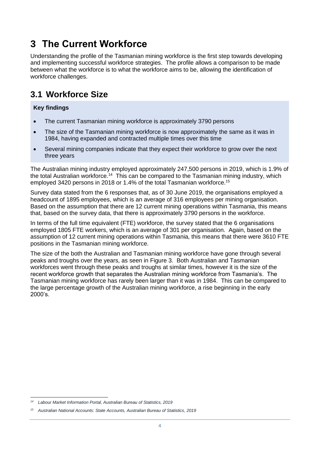# <span id="page-8-0"></span>**3 The Current Workforce**

Understanding the profile of the Tasmanian mining workforce is the first step towards developing and implementing successful workforce strategies. The profile allows a comparison to be made between what the workforce is to what the workforce aims to be, allowing the identification of workforce challenges.

### <span id="page-8-1"></span>**3.1 Workforce Size**

#### **Key findings**

- The current Tasmanian mining workforce is approximately 3790 persons
- The size of the Tasmanian mining workforce is now approximately the same as it was in 1984, having expanded and contracted multiple times over this time
- Several mining companies indicate that they expect their workforce to grow over the next three years

The Australian mining industry employed approximately 247,500 persons in 2019, which is 1.9% of the total Australian workforce.<sup>14</sup> This can be compared to the Tasmanian mining industry, which employed 3420 persons in 2018 or 1.4% of the total Tasmanian workforce.<sup>15</sup>

Survey data stated from the 6 responses that, as of 30 June 2019, the organisations employed a headcount of 1895 employees, which is an average of 316 employees per mining organisation. Based on the assumption that there are 12 current mining operations within Tasmania, this means that, based on the survey data, that there is approximately 3790 persons in the workforce.

In terms of the full time equivalent (FTE) workforce, the survey stated that the 6 organisations employed 1805 FTE workers, which is an average of 301 per organisation. Again, based on the assumption of 12 current mining operations within Tasmania, this means that there were 3610 FTE positions in the Tasmanian mining workforce.

The size of the both the Australian and Tasmanian mining workforce have gone through several peaks and troughs over the years, as seen in [Figure 3.](#page-9-1) Both Australian and Tasmanian workforces went through these peaks and troughs at similar times, however it is the size of the recent workforce growth that separates the Australian mining workforce from Tasmania's. The Tasmanian mining workforce has rarely been larger than it was in 1984. This can be compared to the large percentage growth of the Australian mining workforce, a rise beginning in the early 2000's.

*<sup>14</sup> Labour Market Information Portal, Australian Bureau of Statistics, 2019*

*<sup>15</sup> Australian National Accounts: State Accounts, Australian Bureau of Statistics, 2019*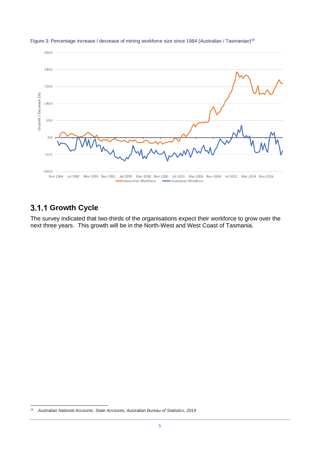

<span id="page-9-1"></span>

### <span id="page-9-0"></span>**Growth Cycle**

The survey indicated that two-thirds of the organisations expect their workforce to grow over the next three years. This growth will be in the North-West and West Coast of Tasmania.

*<sup>16</sup> Australian National Accounts: State Accounts, Australian Bureau of Statistics, 2019*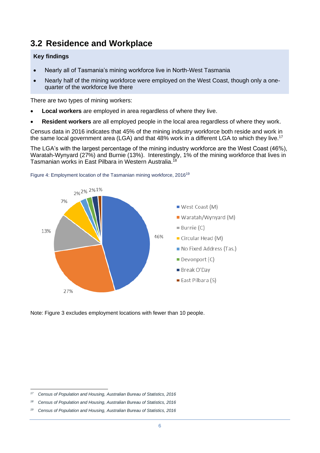### <span id="page-10-0"></span>**3.2 Residence and Workplace**

#### **Key findings**

- Nearly all of Tasmania's mining workforce live in North-West Tasmania
- Nearly half of the mining workforce were employed on the West Coast, though only a onequarter of the workforce live there

There are two types of mining workers:

- **Local workers** are employed in area regardless of where they live.
- **Resident workers** are all employed people in the local area regardless of where they work.

Census data in 2016 indicates that 45% of the mining industry workforce both reside and work in the same local government area (LGA) and that 48% work in a different LGA to which they live.<sup>17</sup>

The LGA's with the largest percentage of the mining industry workforce are the West Coast (46%), Waratah-Wynyard (27%) and Burnie (13%). Interestingly, 1% of the mining workforce that lives in Tasmanian works in East Pilbara in Western Australia.<sup>18</sup>





Note: Figure 3 excludes employment locations with fewer than 10 people.

*<sup>17</sup> Census of Population and Housing, Australian Bureau of Statistics, 2016*

*<sup>18</sup> Census of Population and Housing, Australian Bureau of Statistics, 2016*

*<sup>19</sup> Census of Population and Housing, Australian Bureau of Statistics, 2016*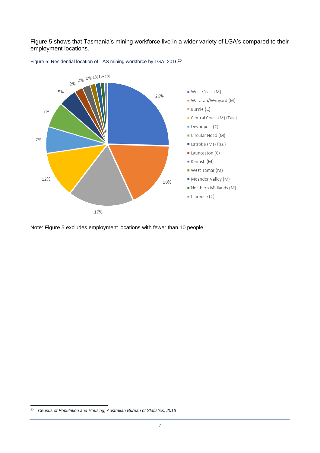[Figure 5](#page-11-0) shows that Tasmania's mining workforce live in a wider variety of LGA's compared to their employment locations.



<span id="page-11-0"></span>

Note: [Figure 5](#page-11-0) excludes employment locations with fewer than 10 people.

*<sup>20</sup> Census of Population and Housing, Australian Bureau of Statistics, 2016*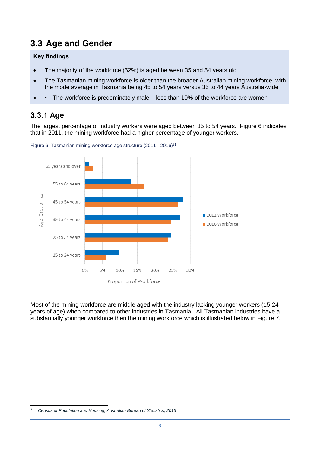### <span id="page-12-0"></span>**3.3 Age and Gender**

#### **Key findings**

- The majority of the workforce (52%) is aged between 35 and 54 years old
- The Tasmanian mining workforce is older than the broader Australian mining workforce, with the mode average in Tasmania being 45 to 54 years versus 35 to 44 years Australia-wide
- The workforce is predominately male less than 10% of the workforce are women

### <span id="page-12-1"></span>3.3.1 Age

The largest percentage of industry workers were aged between 35 to 54 years. [Figure 6](#page-12-2) indicates that in 2011, the mining workforce had a higher percentage of younger workers.



<span id="page-12-2"></span>Figure 6: Tasmanian mining workforce age structure (2011 - 2016)<sup>21</sup>

Most of the mining workforce are middle aged with the industry lacking younger workers (15-24 years of age) when compared to other industries in Tasmania. All Tasmanian industries have a substantially younger workforce then the mining workforce which is illustrated below in [Figure 7.](#page-13-0)

*<sup>21</sup> Census of Population and Housing, Australian Bureau of Statistics, 2016*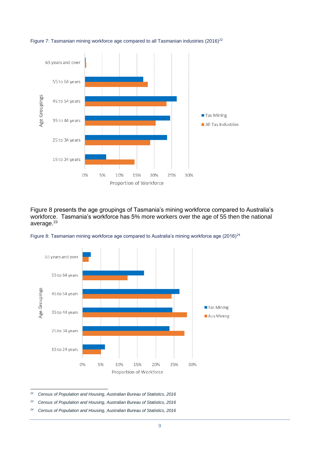

#### <span id="page-13-0"></span>Figure 7: Tasmanian mining workforce age compared to all Tasmanian industries (2016)<sup>22</sup>

[Figure 8](#page-13-1) presents the age groupings of Tasmania's mining workforce compared to Australia's workforce. Tasmania's workforce has 5% more workers over the age of 55 then the national average.<sup>23</sup>



<span id="page-13-1"></span>Figure 8: Tasmanian mining workforce age compared to Australia's mining workforce age (2016)<sup>24</sup>

*<sup>22</sup> Census of Population and Housing, Australian Bureau of Statistics, 2016*

*<sup>23</sup> Census of Population and Housing, Australian Bureau of Statistics, 2016*

*<sup>24</sup> Census of Population and Housing, Australian Bureau of Statistics, 2016*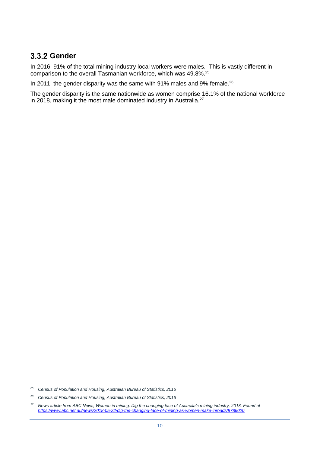### <span id="page-14-0"></span>**3.3.2 Gender**

In 2016, 91% of the total mining industry local workers were males. This is vastly different in comparison to the overall Tasmanian workforce, which was 49.8%. 25

In 2011, the gender disparity was the same with 91% males and 9% female.<sup>26</sup>

The gender disparity is the same nationwide as women comprise 16.1% of the national workforce in 2018, making it the most male dominated industry in Australia.<sup>27</sup>

*<sup>25</sup> Census of Population and Housing, Australian Bureau of Statistics, 2016*

*<sup>26</sup> Census of Population and Housing, Australian Bureau of Statistics, 2016*

*<sup>27</sup> News article from ABC News, Women in mining: Dig the changing face of Australia's mining industry, 2018. Found at <https://www.abc.net.au/news/2018-05-22/dig-the-changing-face-of-mining-as-women-make-inroads/9786020>*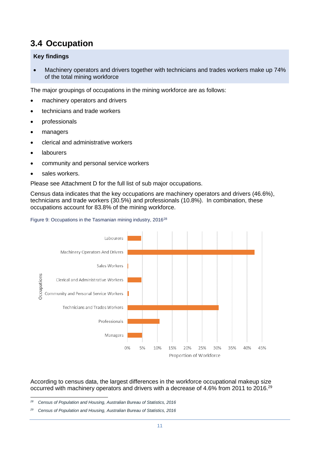### <span id="page-15-0"></span>**3.4 Occupation**

#### **Key findings**

• Machinery operators and drivers together with technicians and trades workers make up 74% of the total mining workforce

The major groupings of occupations in the mining workforce are as follows:

- machinery operators and drivers
- technicians and trade workers
- professionals
- managers
- clerical and administrative workers
- labourers
- community and personal service workers
- sales workers.

Please see Attachment D for the full list of sub major occupations.

Census data indicates that the key occupations are machinery operators and drivers (46.6%), technicians and trade workers (30.5%) and professionals (10.8%). In combination, these occupations account for 83.8% of the mining workforce.





#### According to census data, the largest differences in the workforce occupational makeup size occurred with machinery operators and drivers with a decrease of 4.6% from 2011 to 2016.<sup>29</sup>

*<sup>28</sup> Census of Population and Housing, Australian Bureau of Statistics, 2016*

*<sup>29</sup> Census of Population and Housing, Australian Bureau of Statistics, 2016*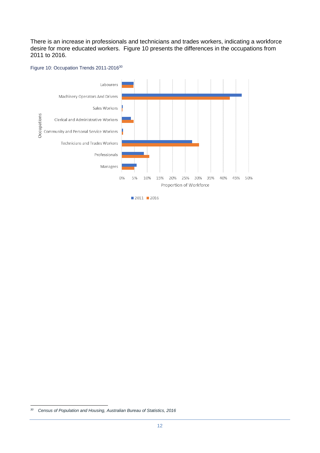There is an increase in professionals and technicians and trades workers, indicating a workforce desire for more educated workers. [Figure 10](#page-16-0) presents the differences in the occupations from 2011 to 2016.

#### <span id="page-16-0"></span>Figure 10: Occupation Trends 2011-2016<sup>30</sup>



*<sup>30</sup> Census of Population and Housing, Australian Bureau of Statistics, 2016*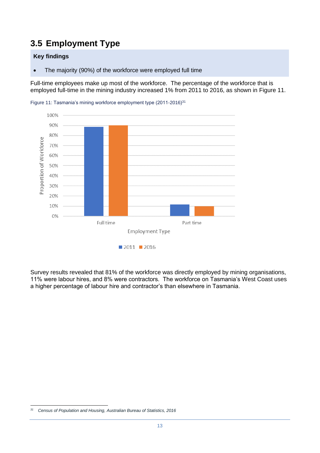# <span id="page-17-0"></span>**3.5 Employment Type**

#### **Key findings**

• The majority (90%) of the workforce were employed full time

Full-time employees make up most of the workforce. The percentage of the workforce that is employed full-time in the mining industry increased 1% from 2011 to 2016, as shown in [Figure 11.](#page-17-1)



<span id="page-17-1"></span>Figure 11: Tasmania's mining workforce employment type (2011-2016)<sup>31</sup>

Survey results revealed that 81% of the workforce was directly employed by mining organisations, 11% were labour hires, and 8% were contractors. The workforce on Tasmania's West Coast uses a higher percentage of labour hire and contractor's than elsewhere in Tasmania.

*<sup>31</sup> Census of Population and Housing, Australian Bureau of Statistics, 2016*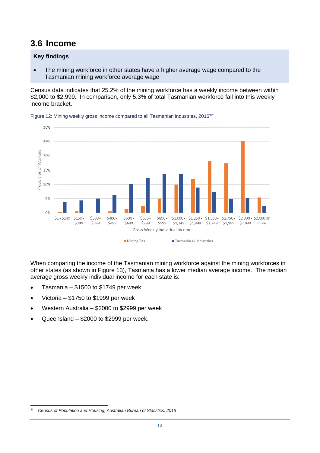### <span id="page-18-0"></span>**3.6 Income**

#### **Key findings**

• The mining workforce in other states have a higher average wage compared to the Tasmanian mining workforce average wage

Census data indicates that 25.2% of the mining workforce has a weekly income between within \$2,000 to \$2,999. In comparison, only 5.3% of total Tasmanian workforce fall into this weekly income bracket.



Figure 12: Mining weekly gross income compared to all Tasmanian industries, 2016<sup>32</sup>

When comparing the income of the Tasmanian mining workforce against the mining workforces in other states (as shown in [Figure 13\)](#page-19-0), Tasmania has a lower median average income. The median average gross weekly individual income for each state is:

- Tasmania \$1500 to \$1749 per week
- Victoria \$1750 to \$1999 per week
- Western Australia \$2000 to \$2999 per week
- Queensland \$2000 to \$2999 per week.

*<sup>32</sup> Census of Population and Housing, Australian Bureau of Statistics, 2016*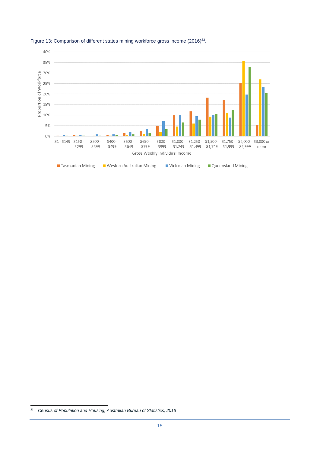

<span id="page-19-0"></span>

*Census of Population and Housing, Australian Bureau of Statistics, 2016*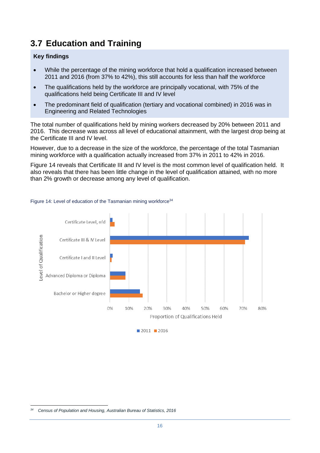### <span id="page-20-0"></span>**3.7 Education and Training**

#### **Key findings**

- While the percentage of the mining workforce that hold a qualification increased between 2011 and 2016 (from 37% to 42%), this still accounts for less than half the workforce
- The qualifications held by the workforce are principally vocational, with 75% of the qualifications held being Certificate III and IV level
- The predominant field of qualification (tertiary and vocational combined) in 2016 was in Engineering and Related Technologies

The total number of qualifications held by mining workers decreased by 20% between 2011 and 2016. This decrease was across all level of educational attainment, with the largest drop being at the Certificate III and IV level.

However, due to a decrease in the size of the workforce, the percentage of the total Tasmanian mining workforce with a qualification actually increased from 37% in 2011 to 42% in 2016.

[Figure 14](#page-20-1) reveals that Certificate III and IV level is the most common level of qualification held. It also reveals that there has been little change in the level of qualification attained, with no more than 2% growth or decrease among any level of qualification.



#### <span id="page-20-1"></span>Figure 14: Level of education of the Tasmanian mining workforce<sup>34</sup>

 $2011$  2016

*<sup>34</sup> Census of Population and Housing, Australian Bureau of Statistics, 2016*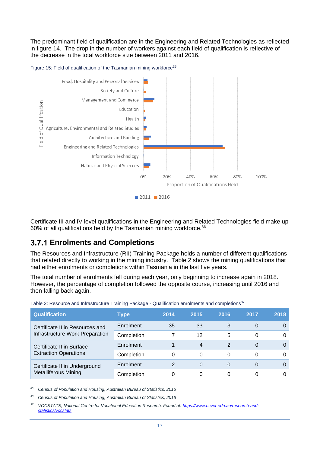The predominant field of qualification are in the Engineering and Related Technologies as reflected in figure 14. The drop in the number of workers against each field of qualification is reflective of the decrease in the total workforce size between 2011 and 2016.





Certificate III and IV level qualifications in the Engineering and Related Technologies field make up 60% of all qualifications held by the Tasmanian mining workforce.<sup>36</sup>

### <span id="page-21-0"></span>**Enrolments and Completions**

The Resources and Infrastructure (RII) Training Package holds a number of different qualifications that related directly to working in the mining industry. [Table 2](#page-21-1) shows the mining qualifications that had either enrolments or completions within Tasmania in the last five years.

The total number of enrolments fell during each year, only beginning to increase again in 2018. However, the percentage of completion followed the opposite course, increasing until 2016 and then falling back again.

| <b>Qualification</b>            | <b>Type</b> | 2014 | 2015     | 2016           | 2017 | 2018 |
|---------------------------------|-------------|------|----------|----------------|------|------|
| Certificate II in Resources and | Enrolment   | 35   | 33       | 3              | 0    |      |
| Infrastructure Work Preparation | Completion  |      | 12       | 5              | 0    | O    |
| Certificate II in Surface       | Enrolment   |      | 4        | $\overline{2}$ | 0    | O    |
| <b>Extraction Operations</b>    | Completion  | 0    | 0        | 0              | 0    | O    |
| Certificate II in Underground   | Enrolment   | າ    | $\Omega$ | 0              | 0    | O    |
| <b>Metalliferous Mining</b>     | Completion  | 0    | 0        | 0              | 0    | Ω    |

<span id="page-21-1"></span>Table 2: Resource and Infrastructure Training Package - Qualification enrolments and completions<sup>37</sup>

*<sup>35</sup> Census of Population and Housing, Australian Bureau of Statistics, 2016*

*<sup>36</sup> Census of Population and Housing, Australian Bureau of Statistics, 2016*

*<sup>37</sup> VOCSTATS, National Centre for Vocational Education Research. Found at: [https://www.ncver.edu.au/research-and](https://www.ncver.edu.au/research-and-statistics/vocstats)[statistics/vocstats](https://www.ncver.edu.au/research-and-statistics/vocstats)*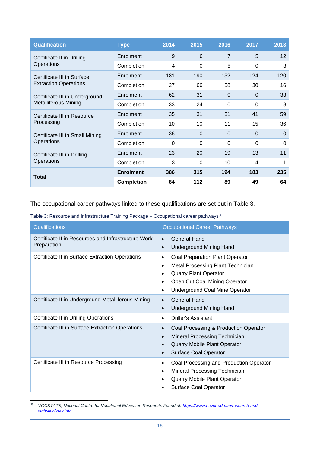| <b>Qualification</b>            | <b>Type</b>       | 2014 | 2015     | 2016     | 2017     | 2018     |
|---------------------------------|-------------------|------|----------|----------|----------|----------|
| Certificate II in Drilling      | Enrolment         | 9    | 6        | 7        | 5        | 12       |
| Operations                      | Completion        | 4    | 0        | 5        | 0        | 3        |
| Certificate III in Surface      | Enrolment         | 181  | 190      | 132      | 124      | 120      |
| <b>Extraction Operations</b>    | Completion        | 27   | 66       | 58       | 30       | 16       |
| Certificate III in Underground  | Enrolment         | 62   | 31       | $\Omega$ | $\Omega$ | 33       |
| <b>Metalliferous Mining</b>     | Completion        | 33   | 24       | 0        | $\Omega$ | 8        |
| Certificate III in Resource     | Enrolment         | 35   | 31       | 31       | 41       | 59       |
| Processing                      | Completion        | 10   | 10       | 11       | 15       | 36       |
| Certificate III in Small Mining | Enrolment         | 38   | $\Omega$ | $\Omega$ | $\Omega$ | $\Omega$ |
| Operations                      | Completion        | 0    | $\Omega$ | $\Omega$ | $\Omega$ | $\Omega$ |
| Certificate III in Drilling     | Enrolment         | 23   | 20       | 19       | 13       | 11       |
| Operations                      | Completion        | 3    | 0        | 10       | 4        | 1        |
|                                 | <b>Enrolment</b>  | 386  | 315      | 194      | 183      | 235      |
| Total                           | <b>Completion</b> | 84   | 112      | 89       | 49       | 64       |

The occupational career pathways linked to these qualifications are set out in [Table 3.](#page-22-0)

<span id="page-22-0"></span>Table 3: Resource and Infrastructure Training Package – Occupational career pathways<sup>38</sup>

| Qualifications                                                     | <b>Occupational Career Pathways</b>                                                                                                                                                                                          |
|--------------------------------------------------------------------|------------------------------------------------------------------------------------------------------------------------------------------------------------------------------------------------------------------------------|
| Certificate II in Resources and Infrastructure Work<br>Preparation | <b>General Hand</b><br>$\bullet$<br><b>Underground Mining Hand</b><br>$\bullet$                                                                                                                                              |
| Certificate II in Surface Extraction Operations                    | <b>Coal Preparation Plant Operator</b><br>$\bullet$<br>Metal Processing Plant Technician<br>$\bullet$<br><b>Quarry Plant Operator</b><br>Open Cut Coal Mining Operator<br>$\bullet$<br><b>Underground Coal Mine Operator</b> |
| Certificate II in Underground Metalliferous Mining                 | <b>General Hand</b><br>$\bullet$<br><b>Underground Mining Hand</b><br>$\bullet$                                                                                                                                              |
| Certificate II in Drilling Operations                              | <b>Driller's Assistant</b><br>$\bullet$                                                                                                                                                                                      |
| Certificate III in Surface Extraction Operations                   | Coal Processing & Production Operator<br>$\bullet$<br>Mineral Processing Technician<br>$\bullet$<br><b>Quarry Mobile Plant Operator</b><br><b>Surface Coal Operator</b><br>$\bullet$                                         |
| Certificate III in Resource Processing                             | Coal Processing and Production Operator<br>$\bullet$<br>Mineral Processing Technician<br>$\bullet$<br><b>Quarry Mobile Plant Operator</b><br><b>Surface Coal Operator</b>                                                    |

*<sup>38</sup> VOCSTATS, National Centre for Vocational Education Research. Found at: [https://www.ncver.edu.au/research-and](https://www.ncver.edu.au/research-and-statistics/vocstats)[statistics/vocstats](https://www.ncver.edu.au/research-and-statistics/vocstats)*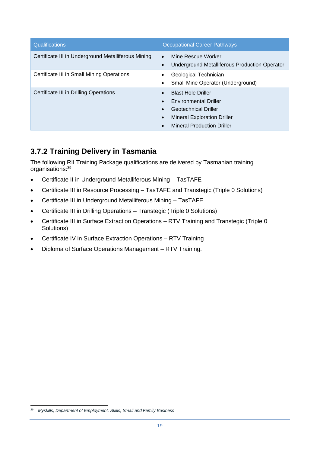| <b>Qualifications</b>                               | <b>Occupational Career Pathways</b>                                                                                                                                              |
|-----------------------------------------------------|----------------------------------------------------------------------------------------------------------------------------------------------------------------------------------|
| Certificate III in Underground Metalliferous Mining | Mine Rescue Worker<br>$\bullet$<br>Underground Metalliferous Production Operator                                                                                                 |
| Certificate III in Small Mining Operations          | Geological Technician<br>Small Mine Operator (Underground)                                                                                                                       |
| Certificate III in Drilling Operations              | <b>Blast Hole Driller</b><br><b>Environmental Driller</b><br><b>Geotechnical Driller</b><br><b>Mineral Exploration Driller</b><br>$\bullet$<br><b>Mineral Production Driller</b> |

### <span id="page-23-0"></span>**Training Delivery in Tasmania**

The following RII Training Package qualifications are delivered by Tasmanian training organisations:<sup>39</sup>

- Certificate II in Underground Metalliferous Mining TasTAFE
- Certificate III in Resource Processing TasTAFE and Transtegic (Triple 0 Solutions)
- Certificate III in Underground Metalliferous Mining TasTAFE
- Certificate III in Drilling Operations Transtegic (Triple 0 Solutions)
- Certificate III in Surface Extraction Operations RTV Training and Transtegic (Triple 0 Solutions)
- Certificate IV in Surface Extraction Operations RTV Training
- Diploma of Surface Operations Management RTV Training.

*<sup>39</sup> Myskills, Department of Employment, Skills, Small and Family Business*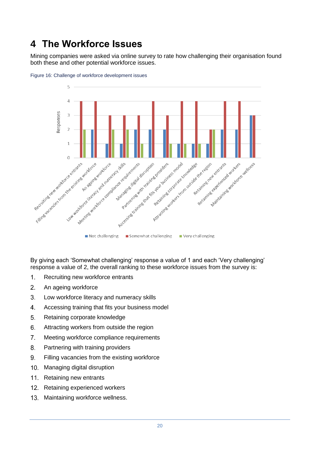# <span id="page-24-0"></span>**4 The Workforce Issues**

Mining companies were asked via online survey to rate how challenging their organisation found both these and other potential workforce issues.



Figure 16: Challenge of workforce development issues

By giving each 'Somewhat challenging' response a value of 1 and each 'Very challenging' response a value of 2, the overall ranking to these workforce issues from the survey is:

- $1.$ Recruiting new workforce entrants
- $2.$ An ageing workforce
- $3<sub>1</sub>$ Low workforce literacy and numeracy skills
- $4.$ Accessing training that fits your business model
- $5<sub>1</sub>$ Retaining corporate knowledge
- $6.$ Attracting workers from outside the region
- $7<sub>1</sub>$ Meeting workforce compliance requirements
- $8<sub>1</sub>$ Partnering with training providers
- 9. Filling vacancies from the existing workforce
- 10. Managing digital disruption
- 11. Retaining new entrants
- 12. Retaining experienced workers
- 13. Maintaining workforce wellness.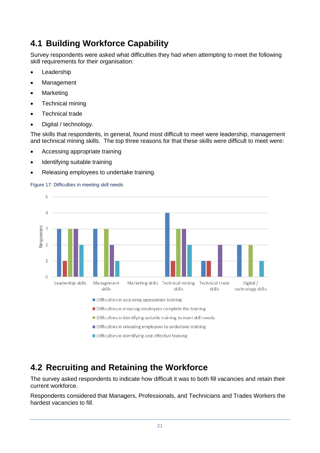# <span id="page-25-0"></span>**4.1 Building Workforce Capability**

Survey respondents were asked what difficulties they had when attempting to meet the following skill requirements for their organisation:

- Leadership
- Management
- Marketing
- Technical mining
- Technical trade
- Digital / technology.

The skills that respondents, in general, found most difficult to meet were leadership, management and technical mining skills. The top three reasons for that these skills were difficult to meet were:

- Accessing appropriate training
- Identifying suitable training
- Releasing employees to undertake training.

#### Figure 17: Difficulties in meeting skill needs



- Difficulties in ensuring employees complete the training
- Difficulties in identifying suitable training to meet skill needs
- Difficulties in releasing employees to undertake training
- Difficulties in identifying cost effective training

# <span id="page-25-1"></span>**4.2 Recruiting and Retaining the Workforce**

The survey asked respondents to indicate how difficult it was to both fill vacancies and retain their current workforce.

Respondents considered that Managers, Professionals, and Technicians and Trades Workers the hardest vacancies to fill.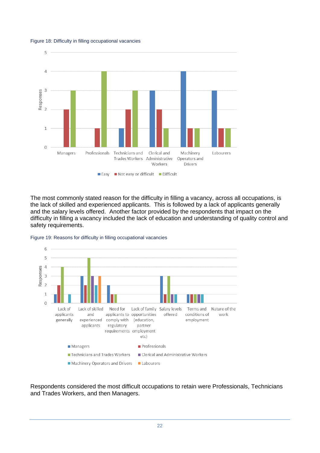Figure 18: Difficulty in filling occupational vacancies



The most commonly stated reason for the difficulty in filling a vacancy, across all occupations, is the lack of skilled and experienced applicants. This is followed by a lack of applicants generally and the salary levels offered. Another factor provided by the respondents that impact on the difficulty in filling a vacancy included the lack of education and understanding of quality control and safety requirements.



Figure 19: Reasons for difficulty in filling occupational vacancies

Respondents considered the most difficult occupations to retain were Professionals, Technicians and Trades Workers, and then Managers.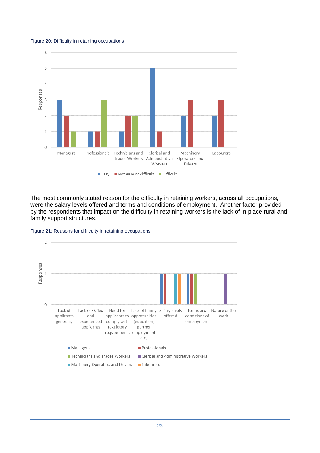#### Figure 20: Difficulty in retaining occupations



The most commonly stated reason for the difficulty in retaining workers, across all occupations, were the salary levels offered and terms and conditions of employment. Another factor provided by the respondents that impact on the difficulty in retaining workers is the lack of in-place rural and family support structures.



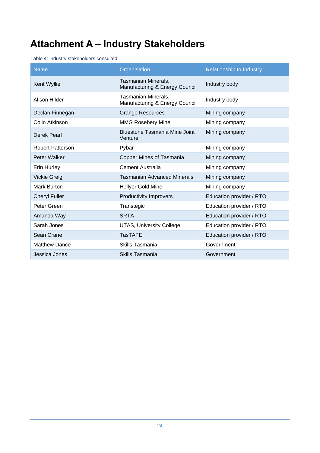# <span id="page-28-0"></span>**Attachment A – Industry Stakeholders**

#### Table 4: Industry stakeholders consulted

| <b>Name</b>             | Organisation                                          | <b>Relationship to Industry</b> |
|-------------------------|-------------------------------------------------------|---------------------------------|
| Kent Wyllie             | Tasmanian Minerals,<br>Manufacturing & Energy Council | Industry body                   |
| Alison Hilder           | Tasmanian Minerals,<br>Manufacturing & Energy Council | Industry body                   |
| Declan Finnegan         | <b>Grange Resources</b>                               | Mining company                  |
| Colin Atkinson          | <b>MMG Rosebery Mine</b>                              | Mining company                  |
| Derek Pearl             | <b>Bluestone Tasmania Mine Joint</b><br>Venture       | Mining company                  |
| <b>Robert Patterson</b> | Pybar                                                 | Mining company                  |
| Peter Walker            | Copper Mines of Tasmania                              | Mining company                  |
| <b>Erin Hurley</b>      | Cement Australia                                      | Mining company                  |
| <b>Vickie Greig</b>     | <b>Tasmanian Advanced Minerals</b>                    | Mining company                  |
| <b>Mark Burton</b>      | Hellyer Gold Mine                                     | Mining company                  |
| <b>Cheryl Fuller</b>    | <b>Productivity Improvers</b>                         | Education provider / RTO        |
| Peter Green             | Transtegic                                            | Education provider / RTO        |
| Amanda Way              | <b>SRTA</b>                                           | Education provider / RTO        |
| Sarah Jones             | <b>UTAS, University College</b>                       | Education provider / RTO        |
| Sean Crane              | <b>TasTAFE</b>                                        | Education provider / RTO        |
| <b>Matthew Dance</b>    | Skills Tasmania                                       | Government                      |
| Jessica Jones           | Skills Tasmania                                       | Government                      |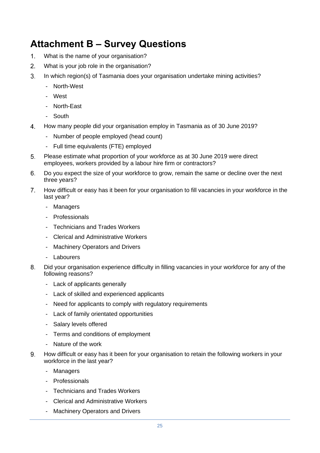# <span id="page-29-0"></span>**Attachment B – Survey Questions**

- $1.$ What is the name of your organisation?
- $2.$ What is your job role in the organisation?
- $3.$ In which region(s) of Tasmania does your organisation undertake mining activities?
	- North-West
	- West
	- North-East
	- South
- $4.$ How many people did your organisation employ in Tasmania as of 30 June 2019?
	- Number of people employed (head count)
	- Full time equivalents (FTE) employed
- $5<sub>1</sub>$ Please estimate what proportion of your workforce as at 30 June 2019 were direct employees, workers provided by a labour hire firm or contractors?
- $6.$ Do you expect the size of your workforce to grow, remain the same or decline over the next three years?
- $7<sup>1</sup>$ How difficult or easy has it been for your organisation to fill vacancies in your workforce in the last year?
	- Managers
	- Professionals
	- Technicians and Trades Workers
	- Clerical and Administrative Workers
	- Machinery Operators and Drivers
	- Labourers
- $8<sub>1</sub>$ Did your organisation experience difficulty in filling vacancies in your workforce for any of the following reasons?
	- Lack of applicants generally
	- Lack of skilled and experienced applicants
	- Need for applicants to comply with regulatory requirements
	- Lack of family orientated opportunities
	- Salary levels offered
	- Terms and conditions of employment
	- Nature of the work
- $9<sub>1</sub>$ How difficult or easy has it been for your organisation to retain the following workers in your workforce in the last year?
	- Managers
	- Professionals
	- Technicians and Trades Workers
	- Clerical and Administrative Workers
	- Machinery Operators and Drivers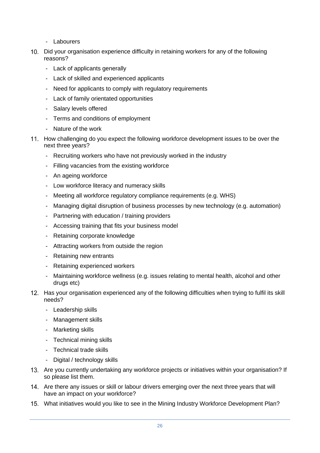- Labourers
- Did your organisation experience difficulty in retaining workers for any of the following reasons?
	- Lack of applicants generally
	- Lack of skilled and experienced applicants
	- Need for applicants to comply with regulatory requirements
	- Lack of family orientated opportunities
	- Salary levels offered
	- Terms and conditions of employment
	- Nature of the work
- 11. How challenging do you expect the following workforce development issues to be over the next three years?
	- Recruiting workers who have not previously worked in the industry
	- Filling vacancies from the existing workforce
	- An ageing workforce
	- Low workforce literacy and numeracy skills
	- Meeting all workforce regulatory compliance requirements (e.g. WHS)
	- Managing digital disruption of business processes by new technology (e.g. automation)
	- Partnering with education / training providers
	- Accessing training that fits your business model
	- Retaining corporate knowledge
	- Attracting workers from outside the region
	- Retaining new entrants
	- Retaining experienced workers
	- Maintaining workforce wellness (e.g. issues relating to mental health, alcohol and other drugs etc)
- 12. Has your organisation experienced any of the following difficulties when trying to fulfil its skill needs?
	- Leadership skills
	- Management skills
	- Marketing skills
	- Technical mining skills
	- Technical trade skills
	- Digital / technology skills
- 13. Are you currently undertaking any workforce projects or initiatives within your organisation? If so please list them.
- 14. Are there any issues or skill or labour drivers emerging over the next three years that will have an impact on your workforce?
- What initiatives would you like to see in the Mining Industry Workforce Development Plan?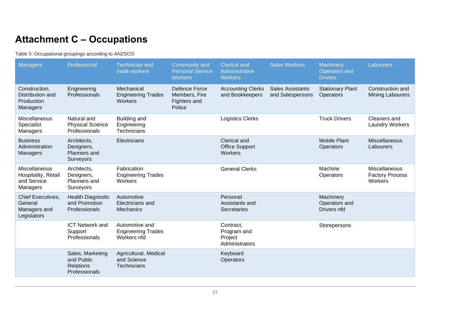# **Attachment C – Occupations**

#### Table 5: Occupational groupings according to ANZSCO

<span id="page-31-0"></span>

| <b>Managers</b>                                                    | Professional                                                        | <b>Technician and</b><br>trade workers                     | <b>Community and</b><br><b>Personal Service</b><br><b>Workers</b> | <b>Clerical and</b><br>Administrative<br><b>Workers</b> | <b>Sales Workers</b>                 | <b>Machinery</b><br>Operators and<br><b>Drivers</b> | Labourers                                          |
|--------------------------------------------------------------------|---------------------------------------------------------------------|------------------------------------------------------------|-------------------------------------------------------------------|---------------------------------------------------------|--------------------------------------|-----------------------------------------------------|----------------------------------------------------|
| Construction,<br>Distribution and<br>Production<br>Managers        | Engineering<br>Professionals                                        | Mechanical<br><b>Engineering Trades</b><br><b>Workers</b>  | Defence Force<br>Members, Fire<br>Fighters and<br>Police          | <b>Accounting Clerks</b><br>and Bookkeepers             | Sales Assistants<br>and Salespersons | <b>Stationary Plant</b><br>Operators                | Construction and<br><b>Mining Labourers</b>        |
| <b>Miscellaneous</b><br>Specialist<br>Managers                     | Natural and<br><b>Physical Science</b><br>Professionals             | Building and<br>Engineering<br>Technicians                 |                                                                   | <b>Logistics Clerks</b>                                 |                                      | <b>Truck Drivers</b>                                | Cleaners and<br><b>Laundry Workers</b>             |
| <b>Business</b><br>Administration<br>Managers                      | Architects,<br>Designers,<br>Planners and<br>Surveyors              | Electricians                                               |                                                                   | Clerical and<br><b>Office Support</b><br>Workers        |                                      | <b>Mobile Plant</b><br>Operators                    | <b>Miscellaneous</b><br>Labourers                  |
| Miscellaneous<br>Hospitality, Retail<br>and Service<br>Managers    | Architects,<br>Designers,<br>Planners and<br>Surveyors              | Fabrication<br><b>Engineering Trades</b><br>Workers        |                                                                   | <b>General Clerks</b>                                   |                                      | Machine<br>Operators                                | Miscellaneous<br><b>Factory Process</b><br>Workers |
| <b>Chief Executives,</b><br>General<br>Managers and<br>Legislators | <b>Health Diagnostic</b><br>and Promotion<br>Professionals          | Automotive<br>Electricians and<br><b>Mechanics</b>         |                                                                   | Personal<br>Assistants and<br>Secretaries               |                                      | Machinery<br>Operators and<br>Drivers nfd           |                                                    |
|                                                                    | <b>ICT Network and</b><br>Support<br>Professionals                  | Automotive and<br><b>Engineering Trades</b><br>Workers nfd |                                                                   | Contract,<br>Program and<br>Project<br>Administrators   |                                      | Storepersons                                        |                                                    |
|                                                                    | Sales, Marketing<br>and Public<br><b>Relations</b><br>Professionals | Agricultural, Medical<br>and Science<br>Technicians        |                                                                   | Keyboard<br>Operators                                   |                                      |                                                     |                                                    |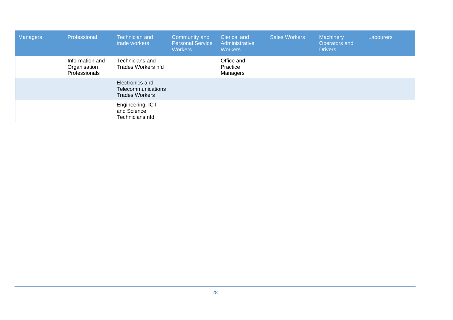| Managers | Professional                                     | Technician and<br>trade workers                                       | Community and<br><b>Personal Service</b><br><b>Workers</b> | Clerical and<br>Administrative<br><b>Workers</b> | <b>Sales Workers</b> | Machinery<br>Operators and<br><b>Drivers</b> | <b>Labourers</b> |
|----------|--------------------------------------------------|-----------------------------------------------------------------------|------------------------------------------------------------|--------------------------------------------------|----------------------|----------------------------------------------|------------------|
|          | Information and<br>Organisation<br>Professionals | Technicians and<br>Trades Workers nfd                                 |                                                            | Office and<br>Practice<br>Managers               |                      |                                              |                  |
|          |                                                  | Electronics and<br><b>Telecommunications</b><br><b>Trades Workers</b> |                                                            |                                                  |                      |                                              |                  |
|          |                                                  | Engineering, ICT<br>and Science<br>Technicians nfd                    |                                                            |                                                  |                      |                                              |                  |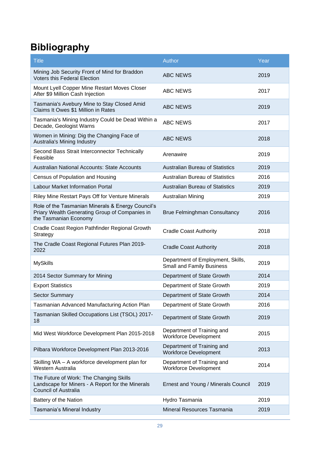# <span id="page-33-0"></span>**Bibliography**

| <b>Title</b>                                                                                                                 | Author                                                                | Year |
|------------------------------------------------------------------------------------------------------------------------------|-----------------------------------------------------------------------|------|
| Mining Job Security Front of Mind for Braddon<br><b>Voters this Federal Election</b>                                         | <b>ABC NEWS</b>                                                       | 2019 |
| Mount Lyell Copper Mine Restart Moves Closer<br>After \$9 Million Cash Injection                                             | <b>ABC NEWS</b>                                                       | 2017 |
| Tasmania's Avebury Mine to Stay Closed Amid<br>Claims It Owes \$1 Million in Rates                                           | <b>ABC NEWS</b>                                                       | 2019 |
| Tasmania's Mining Industry Could be Dead Within a<br>Decade, Geologist Warns                                                 | <b>ABC NEWS</b>                                                       | 2017 |
| Women in Mining: Dig the Changing Face of<br>Australia's Mining Industry                                                     | <b>ABC NEWS</b>                                                       | 2018 |
| Second Bass Strait Interconnector Technically<br>Feasible                                                                    | Arenawire                                                             | 2019 |
| <b>Australian National Accounts: State Accounts</b>                                                                          | <b>Australian Bureau of Statistics</b>                                | 2019 |
| Census of Population and Housing                                                                                             | <b>Australian Bureau of Statistics</b>                                | 2016 |
| <b>Labour Market Information Portal</b>                                                                                      | <b>Australian Bureau of Statistics</b>                                | 2019 |
| Riley Mine Restart Pays Off for Venture Minerals                                                                             | Australian Mining                                                     | 2019 |
| Role of the Tasmanian Minerals & Energy Council's<br>Priary Wealth Generating Group of Companies in<br>the Tasmanian Economy | <b>Brue Felminghman Consultancy</b>                                   | 2016 |
| Cradle Coast Region Pathfinder Regional Growth<br>Strategy                                                                   | <b>Cradle Coast Authority</b>                                         | 2018 |
| The Cradle Coast Regional Futures Plan 2019-<br>2022                                                                         | <b>Cradle Coast Authority</b>                                         | 2018 |
| <b>MySkills</b>                                                                                                              | Department of Employment, Skills,<br><b>Small and Family Business</b> | 2019 |
| 2014 Sector Summary for Mining                                                                                               | Department of State Growth                                            | 2014 |
| <b>Export Statistics</b>                                                                                                     | Department of State Growth                                            | 2019 |
| <b>Sector Summary</b>                                                                                                        | Department of State Growth                                            | 2014 |
| Tasmanian Advanced Manufacturing Action Plan                                                                                 | Department of State Growth                                            | 2016 |
| Tasmanian Skilled Occupations List (TSOL) 2017-<br>18                                                                        | Department of State Growth                                            | 2019 |
| Mid West Workforce Development Plan 2015-2018                                                                                | Department of Training and<br><b>Workforce Development</b>            | 2015 |
| Pilbara Workforce Development Plan 2013-2016                                                                                 | Department of Training and<br><b>Workforce Development</b>            | 2013 |
| Skilling WA - A workforce development plan for<br>Western Australia                                                          | Department of Training and<br><b>Workforce Development</b>            | 2014 |
| The Future of Work: The Changing Skills<br>Landscape for Miners - A Report for the Minerals<br><b>Council of Australia</b>   | Ernest and Young / Minerals Council                                   | 2019 |
| Battery of the Nation                                                                                                        | Hydro Tasmania                                                        | 2019 |
| Tasmania's Mineral Industry                                                                                                  | Mineral Resources Tasmania                                            | 2019 |